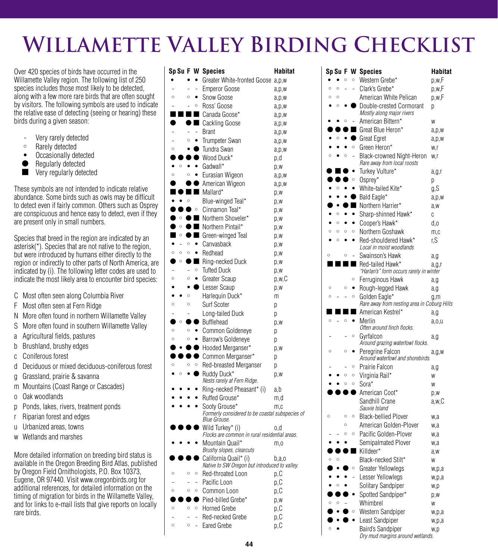# **Willamette Valley Birding Checklist**

Over 420 species of birds have occurred in the Willamette Valley region. The following list of 250 species includes those most likely to be detected, along with a few more rare birds that are often sought by visitors. The following symbols are used to indicate the relative ease of detecting (seeing or hearing) these birds during a given season:

- Very rarely detected
- $\circ$  Rarely detected
- Occasionally detected
- Regularly detected
- **Nery regularly detected**

These symbols are not intended to indicate relative abundance. Some birds such as owls may be difficult to detect even if fairly common. Others such as Osprey are conspicuous and hence easy to detect, even if they are present only in small numbers.

Species that breed in the region are indicated by an asterisk(\*). Species that are not native to the region, but were introduced by humans either directly to the region or indirectly to other parts of North America, are indicated by (i). The following letter codes are used to indicate the most likely area to encounter bird species:

- C Most often seen along Columbia River
- F Most often seen at Fern Ridge
- N More often found in northern Willamette Valley
- S More often found in southern Willamette Valley
- a Agricultural fields, pastures
- b Brushland, brushy edges
- c Coniferous forest
- d Deciduous or mixed deciduous-coniferous forest
- g Grassland, prairie & savanna
- m Mountains (Coast Range or Cascades)
- o Oak woodlands
- p Ponds, lakes, rivers, treatment ponds
- r Riparian forest and edges
- u Urbanized areas, towns
- w Wetlands and marshes

More detailed information on breeding bird status is available in the Oregon Breeding Bird Atlas, published by Oregon Field Ornithologists, P.O. Box 10373, Eugene, OR 97440. Visit www.oregonbirds.org for additional references, for detailed information on the timing of migration for birds in the Willamette Valley, and for links to e-mail lists that give reports on locally rare birds.

| Sp Su F W |         |         |           | <b>Species</b>                                                         | Habitat |
|-----------|---------|---------|-----------|------------------------------------------------------------------------|---------|
|           |         |         |           | Greater White-fronted Goose                                            | a, p, w |
|           |         |         |           | <b>Emperor Goose</b>                                                   | a,p,w   |
| $\circ$   |         | $\circ$ | ٠         | Snow Goose                                                             | a,p,w   |
|           |         |         | $\circ$   | Ross' Goose                                                            | a,p,w   |
|           |         |         | ٠         | Canada Goose*                                                          | a, p, w |
|           |         |         |           | Cackling Goose                                                         | a,p,w   |
|           |         |         |           | <b>Brant</b>                                                           | a,p,w   |
|           |         | $\circ$ | ٠         | <b>Trumpeter Swan</b>                                                  | a,p,w   |
| $\circ$   |         |         |           | Tundra Swan                                                            | a, p, w |
|           |         |         |           | Wood Duck*                                                             | p,d     |
|           | $\circ$ |         | $\bullet$ | Gadwall*                                                               | p,w     |
| $\circ$   |         | $\circ$ |           | Eurasian Wigeon                                                        | a,p,w   |
|           |         |         |           | American Wigeon                                                        | a,p,w   |
|           |         |         |           | Mallard*                                                               | p,w     |
|           |         | $\circ$ |           | Blue-winged Teal*                                                      | p,w     |
|           |         |         | $\circ$   | Cinnamon Teal*                                                         | p,w     |
|           | $\circ$ |         |           | Northern Shoveler*                                                     | p,w     |
|           | $\circ$ |         |           | Northern Pintail*                                                      | p,w     |
|           | $\circ$ |         |           | Green-winged Teal                                                      | p,w     |
|           |         | $\circ$ |           | Canvasback                                                             | p,w     |
| Ō         | $\circ$ | $\circ$ |           | Redhead                                                                | p,w     |
|           | O       |         |           | Ring-necked Duck                                                       | p,w     |
|           |         |         | $\circ$   | <b>Tufted Duck</b>                                                     | p,w     |
| Ō         |         | $\circ$ | ٠         | <b>Greater Scaup</b>                                                   | p,w,C   |
|           |         |         |           | Lesser Scaup                                                           | p,w     |
|           |         | $\circ$ |           | Harlequin Duck*                                                        | m       |
| Ō         |         | $\circ$ |           | Surf Scoter                                                            | р       |
|           |         |         |           | Long-tailed Duck                                                       | р       |
|           | $\circ$ |         |           | <b>Bufflehead</b>                                                      | p,w     |
| $\circ$   |         | $\circ$ |           | Common Goldeneye                                                       | р       |
| $\circ$   |         | $\circ$ | ٠         | Barrow's Goldeneye                                                     | р       |
|           |         |         |           | Hooded Merganser*                                                      | p,w     |
|           |         |         |           | Common Merganser*                                                      | р       |
| $\circ$   |         | Ō       | $\circ$   | Red-breasted Merganser                                                 | р       |
|           | $\circ$ |         |           | Ruddy Duck*                                                            | p,w     |
|           |         |         |           | Nests rarely at Fern Ridge.                                            |         |
|           |         |         |           | Ring-necked Pheasant* (i)                                              | a,b     |
|           |         |         |           | Ruffed Grouse*                                                         | m,d     |
|           |         |         |           | Sooty Grouse*                                                          | m.c     |
|           |         |         |           | Formerly considered to be coastal subspecies of<br>Blue Grouse.        |         |
|           |         |         |           | Wild Turkey* (i)                                                       | 0,d     |
|           |         |         |           | Flocks are common in rural residential areas.<br>Mountain Quail*       |         |
|           |         |         |           | Brushy slopes, clearcuts                                               | m, o    |
|           |         |         |           | California Quail* (i)<br>Native to SW Oregon but introduced to valley. | b,a,o   |
| $\circ$   |         | $\circ$ | $\circ$   | Red-throated Loon                                                      | p,C     |
|           |         |         |           | Pacific Loon                                                           | p.C     |
| $\circ$   |         | Ō       | $\circ$   | Common Loon                                                            | p,C     |
|           |         |         |           | Pied-billed Grebe*                                                     | p,w     |
| Ō         |         | $\circ$ | $\circ$   | <b>Horned Grebe</b>                                                    | p,C     |
|           |         |         |           | Red-necked Grebe                                                       | p,C     |
| $\circ$   |         | $\circ$ |           | Eared Grebe                                                            | p,C     |
|           |         |         |           |                                                                        |         |

|         |         |         |           | Sp Su F W Species                                        | Habitat  |
|---------|---------|---------|-----------|----------------------------------------------------------|----------|
|         |         | Ō       | $\circ$   | Western Grebe*                                           | p,w,F    |
| $\circ$ | $\circ$ |         |           | Clark's Grebe*                                           | p,w,F    |
| $\circ$ | $\circ$ |         |           | American White Pelican                                   | p,w,F    |
|         | $\circ$ |         |           | Double-crested Cormorant<br>Mostly along major rivers    | р        |
|         |         | $\circ$ |           | American Bittern*                                        | W        |
|         |         |         |           | Great Blue Heron*                                        | a,p,w    |
|         | $\circ$ |         |           | <b>Great Egret</b>                                       | a,p,w    |
|         |         |         | $\circ$   | Green Heron*                                             | w,r      |
| $\circ$ |         | Ō       |           | Black-crowned Night-Heron<br>Rare away from local roosts | w,r      |
|         |         |         |           | Turkey Vulture*                                          | a,g,r    |
|         |         |         | $\circ$   | Osprey*                                                  | p        |
|         | $\circ$ |         |           | White-tailed Kite*                                       | g,S      |
|         |         |         |           | Bald Eagle*                                              | a,p,w    |
|         |         |         |           | Northern Harrier*                                        | a,w      |
|         | $\circ$ |         |           | Sharp-shinned Hawk*                                      | C        |
|         | $\circ$ |         |           | Cooper's Hawk*                                           | d,o      |
| $\circ$ | $\circ$ | $\circ$ | Ō         | Northern Goshawk                                         | m,c      |
|         | $\circ$ |         | $\bullet$ | Red-shouldered Hawk*<br>Local in moist woodlands         | r,S      |
|         |         | $\circ$ |           | Swainson's Hawk                                          |          |
|         |         |         |           | Red-tailed Hawk*                                         | a,g      |
|         |         |         |           | "Harlan's" form occurs rarely in winter                  | a,g,r    |
|         |         |         | $\circ$   | Ferruginous Hawk                                         | a,g      |
| $\circ$ |         | $\circ$ |           | Rough-legged Hawk                                        | a, q     |
| $\circ$ |         |         | $\circ$   | Golden Eagle*                                            | q,m      |
|         |         |         |           | Rare away from nesting area in Coburg Hills              |          |
|         |         |         |           | American Kestrel*                                        | a,g      |
| $\circ$ |         |         |           | Merlin                                                   | a,o,u    |
|         |         |         | $\circ$   | Often around finch flocks.                               |          |
|         |         |         |           | Gyrfalcon<br>Around grazing waterfowl flocks.            | a,g      |
| $\circ$ |         | $\circ$ |           | Peregrine Falcon                                         | $a$ ,g,w |
|         |         |         |           | Around waterfowl and shorebirds.                         |          |
|         |         |         | $\circ$   | Prairie Falcon                                           | a,g      |
|         |         | $\circ$ | $\circ$   | Virginia Rail*                                           | W        |
|         |         | $\circ$ | O         | Sora*                                                    | W        |
|         |         |         |           | American Coot*                                           | p,w      |
|         |         |         |           | Sandhill Crane                                           | a,w,C    |
|         |         |         |           | Sauvie Island                                            |          |
| Ō       |         | $\circ$ | $\circ$   | <b>Black-bellied Plover</b>                              | w,a      |
|         |         | O       |           | American Golden-Plover                                   | w,a      |
|         |         | $\circ$ | $\circ$   | Pacific Golden-Plover                                    | w,a      |
|         |         |         |           | Semipalmated Plover                                      | w,a      |
|         |         |         |           | Killdeer^                                                | a,w      |
| $\circ$ | $\circ$ |         |           | Black-necked Stilt*                                      | W        |
|         |         |         | $\circ$   | <b>Greater Yellowlegs</b>                                | w,p,a    |
|         |         |         |           | Lesser Yellowlegs                                        | w,p,a    |
|         | $\circ$ |         |           | Solitary Sandpiper                                       | w,p      |
|         |         |         |           | Spotted Sandpiper*                                       | p,w      |
| $\circ$ | $\circ$ |         |           | Whimbrel                                                 | W        |
|         |         |         | $\circ$   | Western Sandpiper                                        | w,p,a    |
|         |         |         |           | Least Sandpiper                                          | w,p,a    |
| Ō       |         |         |           | Baird's Sandpiper<br>Dry mud margins around wetlands.    | w,p      |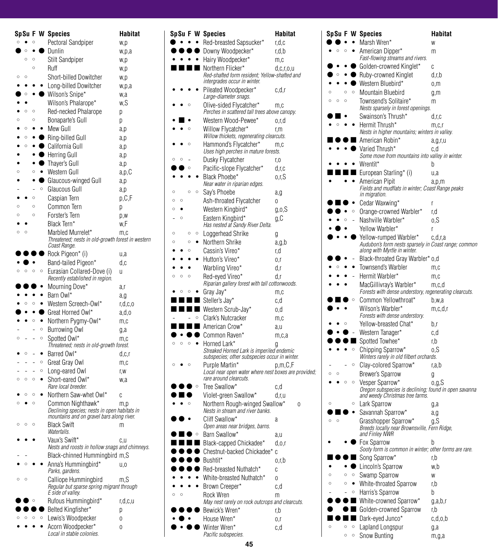|         |         |              |              | <b>SpSu F W Species</b>                                                                | Habitat    |
|---------|---------|--------------|--------------|----------------------------------------------------------------------------------------|------------|
| $\circ$ |         | Ō            |              | Pectoral Sandpiper                                                                     | w,p        |
|         | $\circ$ |              |              | Dunlin                                                                                 | w,p,a      |
|         | Ō       | Ō            |              | <b>Stilt Sandpiper</b>                                                                 | w,p        |
|         |         | Ō            |              | Ruff                                                                                   | w,p        |
| $\circ$ | $\circ$ |              |              | Short-billed Dowitcher                                                                 | w,p        |
|         |         |              |              | Long-billed Dowitcher                                                                  | w,p,a      |
|         | $\circ$ |              |              | Wilson's Snipe*                                                                        | w.a        |
|         |         |              |              | Wilson's Phalarope*                                                                    | w.S        |
|         | Ō       | Ō            |              | Red-necked Phalarope                                                                   | р          |
| Ō       | $\circ$ | $\circ$<br>٠ |              | Bonaparte's Gull<br>Mew Gull                                                           | р          |
|         | $\circ$ |              |              | $\bullet$ Ring-billed Gull                                                             | a,p        |
|         | $\circ$ |              |              | California Gull                                                                        | a,p        |
|         |         |              | ۸            | <b>Herring Gull</b>                                                                    | a,p        |
|         |         |              | ٥            | Thayer's Gull                                                                          | a,p<br>a,p |
| Ō       |         | Ō            | $\bullet$    | Western Gull                                                                           | a,p,C      |
|         |         | ٠            |              | Glaucous-winged Gull                                                                   | a,p        |
|         |         | L,           | $\circ$      | Glaucous Gull                                                                          | a,p        |
|         |         | Ō            |              | Caspian Tern                                                                           | p,C,F      |
| $\circ$ |         | Ō            |              | Common Tern                                                                            | р          |
| $\circ$ |         | Ō            |              | Forster's Tern                                                                         | p,w        |
|         |         |              |              | Black Tern*                                                                            | w.F        |
| $\circ$ | $\circ$ |              |              | Marbled Murrelet*                                                                      | m,c        |
|         |         |              |              | Threatened; nests in old-growth forest in western<br>Coast Range.                      |            |
|         |         |              |              | Rock Pigeon* (i)                                                                       | u,a        |
|         |         |              |              | Band-tailed Pigeon*                                                                    | d,c        |
| $\circ$ | $\circ$ | $\circ$      | $\circ$      | Eurasian Collared-Dove (i)<br>Recently established in region.                          | u          |
|         |         |              | $\bullet$    | Mourning Dove*                                                                         | a,r        |
|         |         |              |              | Barn Owl*                                                                              | a,g        |
|         | Ō       | Ō            | ٠            | Western Screech-Owl*                                                                   | r,d,c,o    |
|         |         |              |              | Great Horned Owl*                                                                      | a,d,o      |
|         |         | Ō            | ٠<br>$\circ$ | Northern Pygmy-Owl*                                                                    | m,c        |
| $\circ$ |         |              | $\circ$      | Burrowing Owl<br>Spotted Owl*                                                          | g,a        |
|         |         |              |              | Threatened; nests in old-growth forest.                                                | m.c        |
|         | Ō       |              | ٠            | Barred Owl*                                                                            | d,c,r      |
|         |         |              | O<br>$\circ$ | Great Gray Owl                                                                         | m,c        |
| $\circ$ | $\circ$ | $\circ$      | ٠            | Long-eared Owl<br>Short-eared Owl*                                                     | r.w        |
|         |         |              |              | Rare local breeder.                                                                    | w,a        |
|         | $\circ$ | Ō            |              | Northern Saw-whet Owl*                                                                 | Ć          |
| $\circ$ |         | Ō            |              | Common Nighthawk*<br>Declining species; nests in open habitats in                      | m,p        |
| $\circ$ | $\circ$ | Ō            |              | mountains and on gravel bars along river.<br>Black Swift<br>Waterfalls.                | m          |
|         |         |              |              | Vaux's Swift*<br>Nests and roosts in hollow snags and chimneys.                        | c,u        |
|         |         |              |              | Black-chinned Hummingbird m,S                                                          |            |
|         | Ō       |              |              | Anna's Hummingbird*<br>Parks, gardens.                                                 | u.o        |
| $\circ$ | $\circ$ |              |              | Calliope Hummingbird<br>Regular but sparse spring migrant through<br>E side of valley. | m.S        |
|         |         | Ō            |              | Rufous Hummingbird*                                                                    | r,d,c,u    |
|         |         |              |              | Belted Kingfisher*                                                                     | р          |
|         |         |              | $\circ$      | Lewis's Woodpecker                                                                     | 0          |
|         |         |              |              | Acorn Woodpecker*<br>Local in stable colonies.                                         | 0          |

|         |   |         |         | SpSu F W Species                                                                           | Habitat    |
|---------|---|---------|---------|--------------------------------------------------------------------------------------------|------------|
|         |   |         |         | Red-breasted Sapsucker*                                                                    | r,d,c      |
|         |   |         |         | Downy Woodpecker*                                                                          | r,d,b      |
|         |   |         |         | Hairy Woodpecker*                                                                          | m,c        |
|         |   |         |         | Northern Flicker*                                                                          | d,c,r,o,u  |
|         |   |         |         | Red-shafted form resident; Yellow-shafted and<br>intergrades occur in winter.              |            |
|         |   |         |         | Pileated Woodpecker*                                                                       | c.d.r      |
|         |   |         |         | Large-diameter snags.                                                                      |            |
|         |   | $\circ$ |         | Olive-sided Flycatcher*                                                                    | m.c        |
|         |   |         |         | Perches in scattered tall trees above canopy.                                              |            |
|         |   | Ō       |         | Western Wood-Pewee*                                                                        | o.r.d      |
|         |   |         |         | Willow Flycatcher*<br>Willow thickets, regenerating clearcuts.                             | r.m        |
|         |   | Ō       |         | Hammond's Flycatcher*<br>Uses high perches in mature forests.                              | m.c        |
| Ō       | Ō |         |         | Dusky Flycatcher                                                                           | r,o        |
|         |   | $\circ$ |         | Pacific-slope Flycatcher*                                                                  | d,r,c      |
|         |   |         |         | Black Phoebe*                                                                              | o.r.S      |
| Ō       |   | Ō       | $\circ$ | Near water in riparian edges.                                                              |            |
| Ō       | Ō |         |         | Say's Phoebe                                                                               | a,g        |
| $\circ$ |   |         |         | Ash-throated Flycatcher<br>Western Kingbird*                                               | 0          |
|         | Ō |         |         | Eastern Kingbird*                                                                          | $g_{,0,S}$ |
|         |   |         |         | Has nested at Sandy River Delta.                                                           | g,C        |
| O       |   | $\circ$ | Ō       | Loggerhead Shrike                                                                          | g          |
| Ō       |   | Ō       |         | Northern Shrike                                                                            | a,g,b      |
|         |   | Ō       |         | Cassin's Vireo*                                                                            | r,d        |
|         |   |         |         | Hutton's Vireo*                                                                            | 0,r        |
|         |   |         |         | Warbling Vireo*                                                                            | d,r        |
| Ō       | Ō | Ō       |         | Red-eved Vireo*                                                                            | d.r        |
|         |   |         |         | Riparian gallery forest with tall cottonwoods.                                             |            |
|         |   | Ō       |         | Gray Jay*                                                                                  | m,c        |
|         |   |         |         | Steller's Jay*                                                                             | c,d        |
|         |   |         |         | Western Scrub-Jay*                                                                         | o,d        |
|         |   |         | $\circ$ | Clark's Nutcracker<br>American Crow*                                                       | m,c        |
|         |   |         |         | Common Raven*                                                                              | a,u        |
|         |   |         |         | Horned Lark*                                                                               | m,c,a      |
|         |   |         |         | Streaked Horned Lark is imperiled endemic<br>subspecies; other subspecies occur in winter. | g          |
| Ō       |   | Ö       |         | Purple Martin*                                                                             | p.m.C.F    |
|         |   |         |         | Local near open water where nest boxes are provided;<br>rare around clearcuts.             |            |
|         |   |         | $\circ$ | Tree Swallow*                                                                              | c.d        |
|         |   |         |         | Violet-green Swallow*                                                                      | d,r,u      |
|         |   | $\circ$ |         | Northern Rough-winged Swallow*<br>Nests in stream and river banks.                         | 0          |
|         |   |         |         | Cliff Swallow*                                                                             | a          |
|         |   |         |         | Open areas near bridges, barns.                                                            |            |
|         |   |         |         | Barn Swallow*                                                                              | a,u        |
|         |   |         |         | Black-capped Chickadee*                                                                    | d, o, r    |
|         |   |         |         | Chestnut-backed Chickadee*<br>Bushtit*                                                     | C          |
|         |   |         |         | Red-breasted Nuthatch*                                                                     | o,r,b<br>C |
|         |   |         |         | White-breasted Nuthatch*                                                                   |            |
|         |   |         |         | Brown Creeper*                                                                             | 0<br>c,d   |
| Ō       | Ö |         |         | Rock Wren                                                                                  | m          |
|         |   |         |         | May nest rarely on rock outcrops and clearcuts.                                            |            |
|         |   |         |         | Bewick's Wren*                                                                             | r,b        |
|         |   |         |         | House Wren*                                                                                | 0, r       |
|         |   |         |         | Winter Wren*                                                                               | c,d        |
|         |   |         |         | Pacific subspecies.                                                                        |            |

|         |         |         |         | Sp Su F W Species                                                                        | Habitat    |
|---------|---------|---------|---------|------------------------------------------------------------------------------------------|------------|
|         |         |         |         | Marsh Wren*                                                                              | W          |
|         |         |         |         | American Dipper*<br>Fast-flowing streams and rivers.                                     | m          |
|         |         |         |         | Golden-crowned Kinglet*                                                                  | C          |
|         |         |         |         | Ruby-crowned Kinglet                                                                     | d,r,b      |
|         |         |         |         | Western Bluebird*                                                                        | 0,M        |
| $\circ$ |         | $\circ$ | $\circ$ | Mountain Bluebird                                                                        | g,m        |
| O       | $\circ$ | $\circ$ |         | Townsend's Solitaire*                                                                    | m          |
|         |         |         |         | Nests sparsely in forest openings.                                                       |            |
|         |         |         |         | Swainson's Thrush*                                                                       | d, r, c    |
|         |         |         |         | Hermit Thrush*                                                                           | m,c,r      |
|         |         |         |         | Nests in higher mountains; winters in valley.                                            |            |
|         |         |         |         | American Robin*                                                                          | $a$ ,g,r,u |
|         |         |         |         | Varied Thrush*                                                                           | c.d        |
|         |         |         |         | Some move from mountains into valley in winter.                                          |            |
|         |         |         |         | Wrentit*                                                                                 | b          |
|         |         |         |         | European Starling* (i)                                                                   | u,a        |
|         |         |         |         | American Pipit                                                                           | a,p,m      |
|         |         |         |         | Fields and mudflats in winter; Coast Range peaks<br>in migration.                        |            |
|         |         |         |         | Cedar Waxwing*                                                                           | r          |
|         |         |         | $\circ$ | Orange-crowned Warbler*                                                                  | r.d        |
|         |         |         |         | Nashville Warbler*                                                                       | o,S        |
|         |         |         |         | Yellow Warbler*                                                                          | r          |
|         |         |         |         | Yellow-rumped Warbler*                                                                   | c,d,r,a    |
|         |         |         |         | Audubon's form nests sparsely in Coast range; common<br>along with Myrtle in winter.     |            |
|         |         |         |         | Black-throated Gray Warbler* o,d                                                         |            |
|         |         |         |         | Townsend's Warbler                                                                       | m.c        |
|         |         |         |         | Hermit Warbler*                                                                          | m,c        |
|         |         |         |         | MacGillivray's Warbler*                                                                  | m,c,d      |
|         |         |         |         | Forests with dense understory, regenerating clearcuts.                                   |            |
|         |         |         | $\circ$ | Common Yellowthroat*                                                                     | b,w,a      |
|         |         |         |         | Wilson's Warbler*<br>Forests with dense understory.                                      | m,c,d,r    |
|         |         |         |         | Yellow-breasted Chat*                                                                    | b,r        |
|         |         |         |         | Western Tanager*                                                                         | c,d        |
|         |         |         |         | Spotted Towhee*                                                                          | r, b       |
|         |         |         | $\circ$ | Chipping Sparrow*                                                                        | o.S        |
|         |         |         |         | Winters rarely in old filbert orchards.                                                  |            |
|         |         |         | O       | Clay-colored Sparrow*                                                                    | r,a,b      |
| Ō       | O       |         |         | <b>Brewer's Sparrow</b>                                                                  | g          |
|         |         | O       | $\circ$ | Vesper Sparrow*                                                                          | o,g,S      |
|         |         |         |         | Oregon subspecies is declining; found in open savanna<br>and weedy Christmas tree farms. |            |
| $\circ$ |         |         | $\circ$ | Lark Sparrow                                                                             | g,a        |
|         |         |         |         | Savannah Sparrow*                                                                        | a,g        |
| O       | $\circ$ |         |         | Grasshopper Sparrow*<br>Breeds locally near Brownsville, Fern Ridge,<br>and Finley NWR   | g, S       |
|         |         |         |         | Fox Sparrow<br>Sooty form is common in winter; other forms are rare.                     | b          |
|         |         |         |         | Song Sparrow*                                                                            | r, b       |
|         |         |         |         | Lincoln's Sparrow                                                                        | w.b        |
| O       |         | $\circ$ | O       | Swamp Sparrow                                                                            | W          |
| $\circ$ |         | $\circ$ |         | White-throated Sparrow                                                                   | r, b       |
|         |         |         | $\circ$ | Harris's Sparrow                                                                         | b          |
|         |         |         |         | White-crowned Sparrow*                                                                   | g,a,b,r    |
|         |         |         |         | Golden-crowned Sparrow                                                                   | r, b       |
|         |         |         |         | Dark-eyed Junco*                                                                         | c,d,o,b    |
|         |         | Ō       | $\circ$ | Lapland Longspur                                                                         | g,a        |
|         |         | $\circ$ | Ō       | Snow Bunting                                                                             | m,g,a      |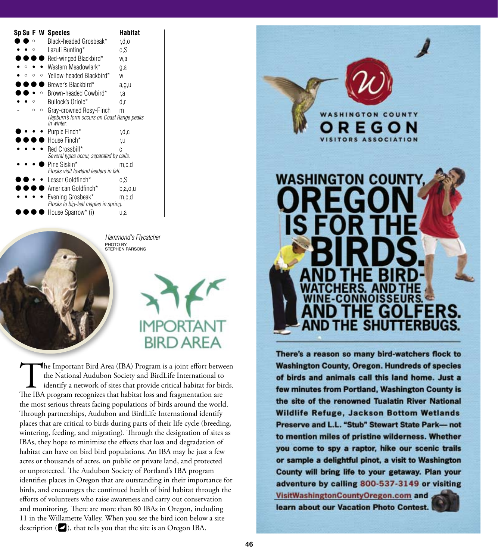|   |   | Sp Su F W Species                                         | <b>Habitat</b> |
|---|---|-----------------------------------------------------------|----------------|
|   |   | Black-headed Grosbeak*                                    | r,d,o          |
|   |   | Lazuli Bunting*                                           | 0,S            |
|   |   | Red-winged Blackbird*                                     | w.a            |
|   |   | Western Meadowlark*                                       | g,a            |
|   | O | Yellow-headed Blackbird*                                  | W              |
|   |   | Brewer's Blackbird*                                       | a,g,u          |
|   | Ω | Brown-headed Cowbird*                                     | r,a            |
|   |   | Bullock's Oriole*                                         | d,r            |
| Ō | O | Gray-crowned Rosy-Finch                                   | m              |
|   |   | Hepburn's form occurs on Coast Range peaks<br>in winter   |                |
|   |   | Purple Finch*                                             | r.d.c          |
|   |   | House Finch*                                              | r.u            |
|   |   | Red Crossbill*                                            | C              |
|   |   | Several types occur, separated by calls.                  |                |
|   |   | Pine Siskin*                                              | m.c.d          |
|   |   | Flocks visit lowland feeders in fall.                     |                |
|   |   | Lesser Goldfinch*                                         | o.S            |
|   |   | American Goldfinch*                                       | b,a,0,u        |
|   |   | Evening Grosbeak*<br>Flocks to big-leaf maples in spring. | m.c.d          |
|   |   | House Sparrow* (i)                                        | u,a            |



*Hammond's Flycatcher* PHOTO BY:<br>STEPHEN PARSONS

# **DRTANT BIRD AREA**

The Important Bird Area (IBA) Program is a joint effort between<br>the National Audubon Society and BirdLife International to<br>identify a network of sites that provide critical habitat for birds.<br>The IBA program recognizes tha the National Audubon Society and BirdLife International to identify a network of sites that provide critical habitat for birds. The IBA program recognizes that habitat loss and fragmentation are the most serious threats facing populations of birds around the world. Through partnerships, Audubon and BirdLife International identify places that are critical to birds during parts of their life cycle (breeding, wintering, feeding, and migrating). Through the designation of sites as IBAs, they hope to minimize the effects that loss and degradation of habitat can have on bird bird populations. An IBA may be just a few acres or thousands of acres, on public or private land, and protected or unprotected. The Audubon Society of Portland's IBA program identifies places in Oregon that are outstanding in their importance for birds, and encourages the continued health of bird habitat through the efforts of volunteers who raise awareness and carry out conservation and monitoring. There are more than 80 IBAs in Oregon, including 11 in the Willamette Valley. When you see the bird icon below a site description  $(\blacktriangle)$ , that tells you that the site is an Oregon IBA.



There's a reason so many bird-watchers flock to **Washington County, Oregon. Hundreds of species** of birds and animals call this land home. Just a few minutes from Portland, Washington County is the site of the renowned Tualatin River National **Wildlife Refuge, Jackson Bottom Wetlands** Preserve and L.L. "Stub" Stewart State Park- not to mention miles of pristine wilderness. Whether you come to spy a raptor, hike our scenic trails or sample a delightful pinot, a visit to Washington County will bring life to your getaway. Plan your adventure by calling 800-537-3149 or visiting

VisitWashingtonCountyOregon.com and learn about our Vacation Photo Contest.